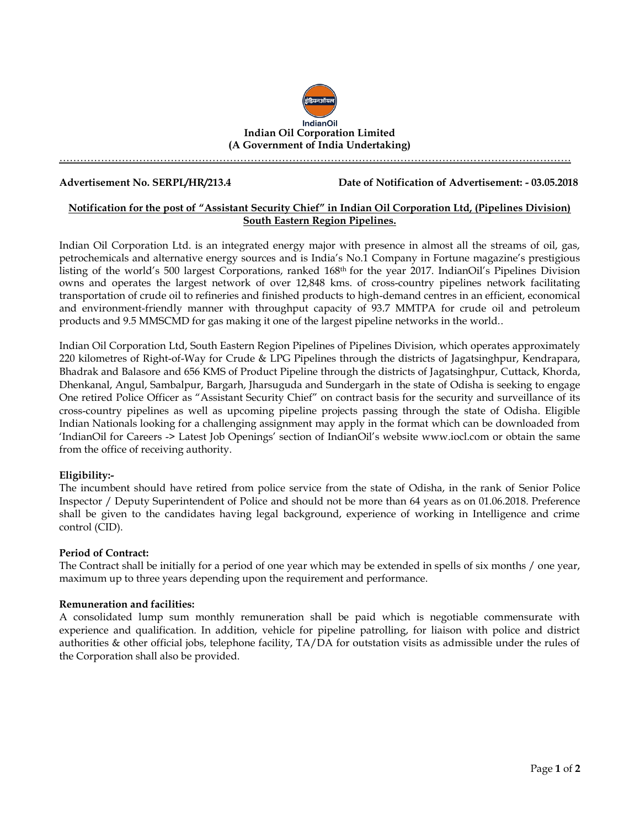

…………………………………………………………………………………………………………………………………

**Advertisement No. SERPL/HR/213.4 Date of Notification of Advertisement: - 03.05.2018**

# **Notification for the post of "Assistant Security Chief" in Indian Oil Corporation Ltd, (Pipelines Division) South Eastern Region Pipelines.**

Indian Oil Corporation Ltd. is an integrated energy major with presence in almost all the streams of oil, gas, petrochemicals and alternative energy sources and is India's No.1 Company in Fortune magazine's prestigious listing of the world's 500 largest Corporations, ranked 168th for the year 2017. IndianOil's Pipelines Division owns and operates the largest network of over 12,848 kms. of cross-country pipelines network facilitating transportation of crude oil to refineries and finished products to high-demand centres in an efficient, economical and environment-friendly manner with throughput capacity of 93.7 MMTPA for crude oil and petroleum products and 9.5 MMSCMD for gas making it one of the largest pipeline networks in the world..

Indian Oil Corporation Ltd, South Eastern Region Pipelines of Pipelines Division, which operates approximately 220 kilometres of Right-of-Way for Crude & LPG Pipelines through the districts of Jagatsinghpur, Kendrapara, Bhadrak and Balasore and 656 KMS of Product Pipeline through the districts of Jagatsinghpur, Cuttack, Khorda, Dhenkanal, Angul, Sambalpur, Bargarh, Jharsuguda and Sundergarh in the state of Odisha is seeking to engage One retired Police Officer as "Assistant Security Chief" on contract basis for the security and surveillance of its cross-country pipelines as well as upcoming pipeline projects passing through the state of Odisha. Eligible Indian Nationals looking for a challenging assignment may apply in the format which can be downloaded from 'IndianOil for Careers -> Latest Job Openings' section of IndianOil's website [www.iocl.com](http://www.iocl.com/) or obtain the same from the office of receiving authority.

## **Eligibility:-**

The incumbent should have retired from police service from the state of Odisha, in the rank of Senior Police Inspector / Deputy Superintendent of Police and should not be more than 64 years as on 01.06.2018. Preference shall be given to the candidates having legal background, experience of working in Intelligence and crime control (CID).

## **Period of Contract:**

The Contract shall be initially for a period of one year which may be extended in spells of six months / one year, maximum up to three years depending upon the requirement and performance.

## **Remuneration and facilities:**

A consolidated lump sum monthly remuneration shall be paid which is negotiable commensurate with experience and qualification. In addition, vehicle for pipeline patrolling, for liaison with police and district authorities & other official jobs, telephone facility, TA/DA for outstation visits as admissible under the rules of the Corporation shall also be provided.